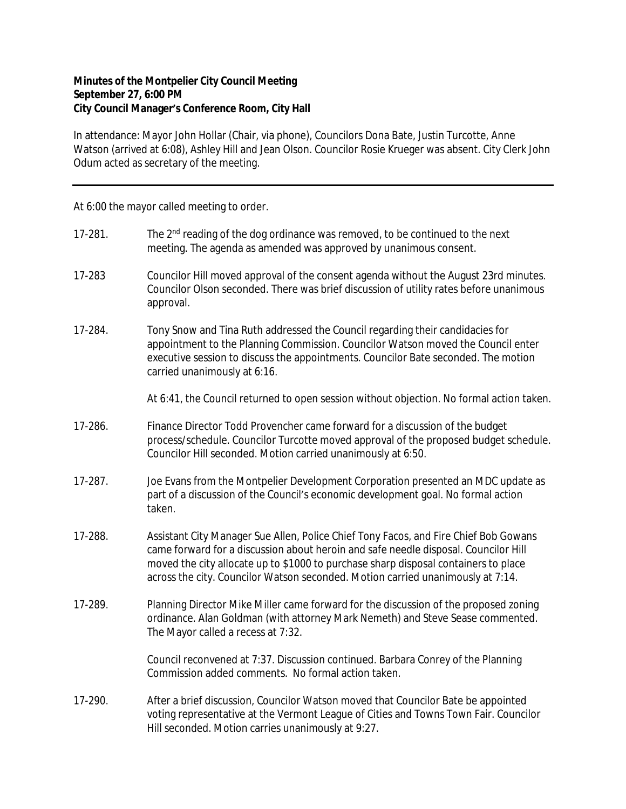## **Minutes of the Montpelier City Council Meeting September 27, 6:00 PM City Council Manager's Conference Room, City Hall**

In attendance: Mayor John Hollar (Chair, via phone), Councilors Dona Bate, Justin Turcotte, Anne Watson (arrived at 6:08), Ashley Hill and Jean Olson. Councilor Rosie Krueger was absent. City Clerk John Odum acted as secretary of the meeting.

At 6:00 the mayor called meeting to order.

| 17-281. | The 2 <sup>nd</sup> reading of the dog ordinance was removed, to be continued to the next<br>meeting. The agenda as amended was approved by unanimous consent.                                                                                                                                                                                        |
|---------|-------------------------------------------------------------------------------------------------------------------------------------------------------------------------------------------------------------------------------------------------------------------------------------------------------------------------------------------------------|
| 17-283  | Councilor Hill moved approval of the consent agenda without the August 23rd minutes.<br>Councilor Olson seconded. There was brief discussion of utility rates before unanimous<br>approval.                                                                                                                                                           |
| 17-284. | Tony Snow and Tina Ruth addressed the Council regarding their candidacies for<br>appointment to the Planning Commission. Councilor Watson moved the Council enter<br>executive session to discuss the appointments. Councilor Bate seconded. The motion<br>carried unanimously at 6:16.                                                               |
|         | At 6:41, the Council returned to open session without objection. No formal action taken.                                                                                                                                                                                                                                                              |
| 17-286. | Finance Director Todd Provencher came forward for a discussion of the budget<br>process/schedule. Councilor Turcotte moved approval of the proposed budget schedule.<br>Councilor Hill seconded. Motion carried unanimously at 6:50.                                                                                                                  |
| 17-287. | Joe Evans from the Montpelier Development Corporation presented an MDC update as<br>part of a discussion of the Council's economic development goal. No formal action<br>taken.                                                                                                                                                                       |
| 17-288. | Assistant City Manager Sue Allen, Police Chief Tony Facos, and Fire Chief Bob Gowans<br>came forward for a discussion about heroin and safe needle disposal. Councilor Hill<br>moved the city allocate up to \$1000 to purchase sharp disposal containers to place<br>across the city. Councilor Watson seconded. Motion carried unanimously at 7:14. |
| 17-289. | Planning Director Mike Miller came forward for the discussion of the proposed zoning<br>ordinance. Alan Goldman (with attorney Mark Nemeth) and Steve Sease commented.<br>The Mayor called a recess at 7:32.                                                                                                                                          |
|         | Council reconvened at 7:37. Discussion continued. Barbara Conrey of the Planning<br>Commission added comments. No formal action taken.                                                                                                                                                                                                                |
| 17-290. | After a brief discussion, Councilor Watson moved that Councilor Bate be appointed<br>voting representative at the Vermont League of Cities and Towns Town Fair. Councilor<br>Hill seconded. Motion carries unanimously at 9:27.                                                                                                                       |